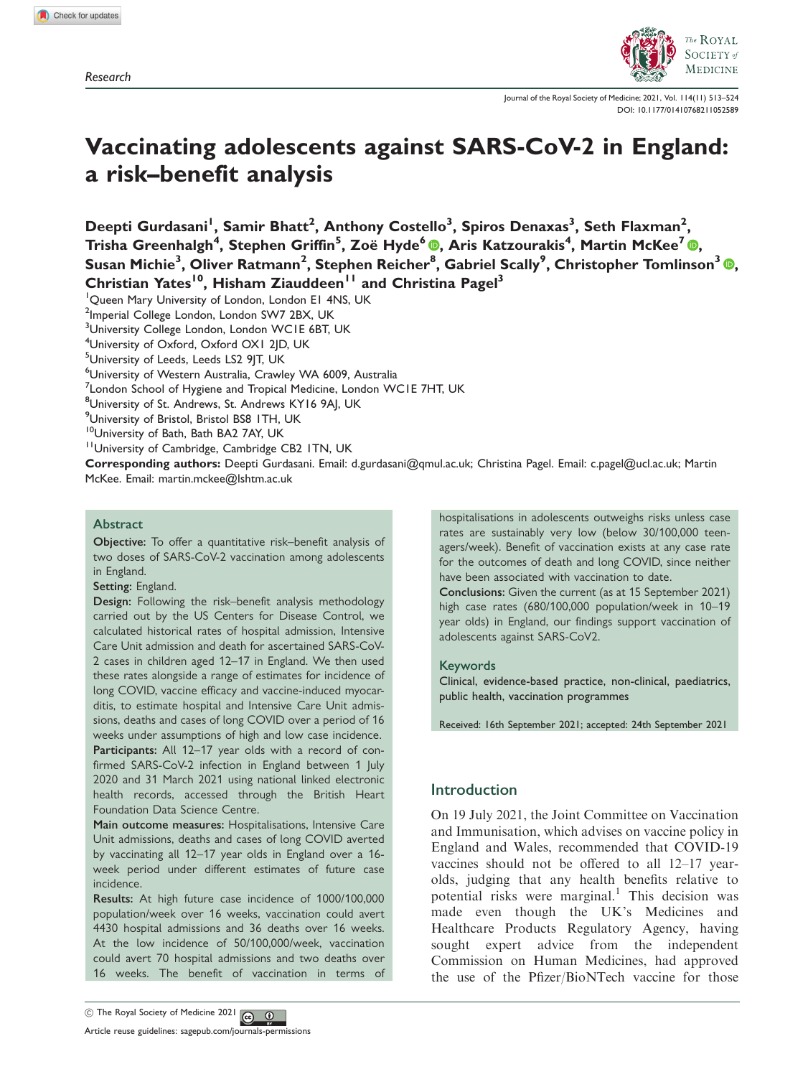Research



Journal of the Royal Society of Medicine; 2021, Vol. 114(11) 513–524 DOI: 10.1177/01410768211052589

# Vaccinating adolescents against SARS-CoV-2 in England: a risk–benefit analysis

Deepti Gurdasani<sup>'</sup>, Samir Bhatt<sup>2</sup>, Anthony Costello<sup>3</sup>, Spiros Denaxas<sup>3</sup>, Seth Flaxman<sup>2</sup>, Trisha Greenhalgh<sup>4</sup>, Stephen Griffin<sup>5</sup>, Zoë Hyde<sup>6</sup> ®, Aris Katzourakis<sup>4</sup>, Martin McKee<sup>7</sup> ®, Susan Michie<sup>3</sup> , Oliver Ratmann2 , Stephen Reicher<sup>8</sup> , Gabriel Scally9 , Christopher Tomlinson<sup>3</sup> [,](https://orcid.org/0000-0002-0903-5395) Christian Yates<sup>10</sup>, Hisham Ziauddeen<sup>11</sup> and Christina Pagel<sup>3</sup>

<sup>1</sup> Queen Mary University of London, London E1 4NS, UK

<sup>2</sup>Imperial College London, London SW7 2BX, UK

<sup>3</sup>University College London, London WC1E 6BT, UK

4 University of Oxford, Oxford OX1 2JD, UK

<sup>5</sup>University of Leeds, Leeds LS2 9JT, UK

6 University of Western Australia, Crawley WA 6009, Australia

 $^7$ London School of Hygiene and Tropical Medicine, London WC1E 7HT, UK

<sup>8</sup>University of St. Andrews, St. Andrews KY16 9AJ, UK

<sup>9</sup>University of Bristol, Bristol BS8 ITH, UK

<sup>10</sup>University of Bath, Bath BA2 7AY, UK

<sup>11</sup>University of Cambridge, Cambridge CB2 ITN, UK

Corresponding authors: Deepti Gurdasani. Email: d.gurdasani@qmul.ac.uk; Christina Pagel. Email: c.pagel@ucl.ac.uk; Martin McKee. Email: martin.mckee@lshtm.ac.uk

### **Abstract**

Objective: To offer a quantitative risk–benefit analysis of two doses of SARS-CoV-2 vaccination among adolescents in England.

Setting: England.

Design: Following the risk–benefit analysis methodology carried out by the US Centers for Disease Control, we calculated historical rates of hospital admission, Intensive Care Unit admission and death for ascertained SARS-CoV-2 cases in children aged 12–17 in England. We then used these rates alongside a range of estimates for incidence of long COVID, vaccine efficacy and vaccine-induced myocarditis, to estimate hospital and Intensive Care Unit admissions, deaths and cases of long COVID over a period of 16 weeks under assumptions of high and low case incidence. Participants: All 12-17 year olds with a record of confirmed SARS-CoV-2 infection in England between 1 July 2020 and 31 March 2021 using national linked electronic health records, accessed through the British Heart Foundation Data Science Centre.

Main outcome measures: Hospitalisations, Intensive Care Unit admissions, deaths and cases of long COVID averted by vaccinating all 12–17 year olds in England over a 16 week period under different estimates of future case incidence.

Results: At high future case incidence of 1000/100,000 population/week over 16 weeks, vaccination could avert 4430 hospital admissions and 36 deaths over 16 weeks. At the low incidence of 50/100,000/week, vaccination could avert 70 hospital admissions and two deaths over 16 weeks. The benefit of vaccination in terms of hospitalisations in adolescents outweighs risks unless case rates are sustainably very low (below 30/100,000 teenagers/week). Benefit of vaccination exists at any case rate for the outcomes of death and long COVID, since neither have been associated with vaccination to date.

Conclusions: Given the current (as at 15 September 2021) high case rates (680/100,000 population/week in 10–19 year olds) in England, our findings support vaccination of adolescents against SARS-CoV2.

#### Keywords

Clinical, evidence-based practice, non-clinical, paediatrics, public health, vaccination programmes

Received: 16th September 2021; accepted: 24th September 2021

# Introduction

On 19 July 2021, the Joint Committee on Vaccination and Immunisation, which advises on vaccine policy in England and Wales, recommended that COVID-19 vaccines should not be offered to all 12–17 yearolds, judging that any health benefits relative to potential risks were marginal.<sup>1</sup> This decision was made even though the UK's Medicines and Healthcare Products Regulatory Agency, having sought expert advice from the independent Commission on Human Medicines, had approved the use of the Pfizer/BioNTech vaccine for those



Article reuse guidelines: sagepub.com/journals-permissions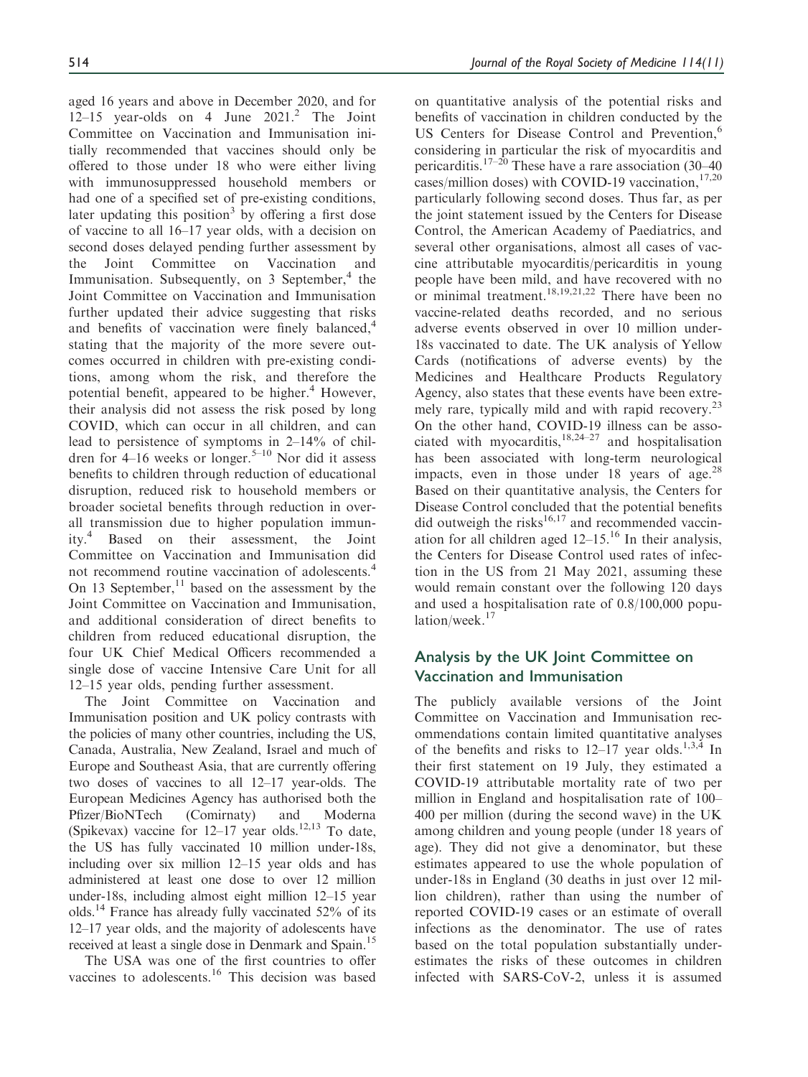aged 16 years and above in December 2020, and for 12–15 year-olds on 4 June  $2021<sup>2</sup>$  The Joint Committee on Vaccination and Immunisation initially recommended that vaccines should only be offered to those under 18 who were either living with immunosuppressed household members or had one of a specified set of pre-existing conditions, later updating this position<sup>3</sup> by offering a first dose of vaccine to all 16–17 year olds, with a decision on second doses delayed pending further assessment by the Joint Committee on Vaccination and Immunisation. Subsequently, on  $\overline{3}$  September,  $\overline{4}$  the Joint Committee on Vaccination and Immunisation further updated their advice suggesting that risks and benefits of vaccination were finely balanced,<sup>4</sup> stating that the majority of the more severe outcomes occurred in children with pre-existing conditions, among whom the risk, and therefore the potential benefit, appeared to be higher. $4$  However, their analysis did not assess the risk posed by long COVID, which can occur in all children, and can lead to persistence of symptoms in 2–14% of children for 4–16 weeks or longer.<sup>5–10</sup> Nor did it assess benefits to children through reduction of educational disruption, reduced risk to household members or broader societal benefits through reduction in overall transmission due to higher population immunity.4 Based on their assessment, the Joint Committee on Vaccination and Immunisation did not recommend routine vaccination of adolescents.<sup>4</sup> On 13 September, $^{11}$  based on the assessment by the Joint Committee on Vaccination and Immunisation, and additional consideration of direct benefits to children from reduced educational disruption, the four UK Chief Medical Officers recommended a single dose of vaccine Intensive Care Unit for all 12–15 year olds, pending further assessment.

The Joint Committee on Vaccination and Immunisation position and UK policy contrasts with the policies of many other countries, including the US, Canada, Australia, New Zealand, Israel and much of Europe and Southeast Asia, that are currently offering two doses of vaccines to all 12–17 year-olds. The European Medicines Agency has authorised both the Pfizer/BioNTech (Comirnaty) and Moderna (Spikevax) vaccine for  $12-17$  year olds.<sup>12,13</sup> To date, the US has fully vaccinated 10 million under-18s, including over six million 12–15 year olds and has administered at least one dose to over 12 million under-18s, including almost eight million 12–15 year olds.14 France has already fully vaccinated 52% of its 12–17 year olds, and the majority of adolescents have received at least a single dose in Denmark and Spain.<sup>15</sup>

The USA was one of the first countries to offer vaccines to adolescents.<sup>16</sup> This decision was based on quantitative analysis of the potential risks and benefits of vaccination in children conducted by the US Centers for Disease Control and Prevention,<sup>6</sup> considering in particular the risk of myocarditis and pericarditis.<sup>17–20</sup> These have a rare association (30–40) cases/million doses) with COVID-19 vaccination, $17,20$ particularly following second doses. Thus far, as per the joint statement issued by the Centers for Disease Control, the American Academy of Paediatrics, and several other organisations, almost all cases of vaccine attributable myocarditis/pericarditis in young people have been mild, and have recovered with no or minimal treatment.<sup>18,19,21,22</sup> There have been no vaccine-related deaths recorded, and no serious adverse events observed in over 10 million under-18s vaccinated to date. The UK analysis of Yellow Cards (notifications of adverse events) by the Medicines and Healthcare Products Regulatory Agency, also states that these events have been extremely rare, typically mild and with rapid recovery. $^{23}$ On the other hand, COVID-19 illness can be associated with myocarditis, $18,24-27$  and hospitalisation has been associated with long-term neurological impacts, even in those under 18 years of age. $^{28}$ Based on their quantitative analysis, the Centers for Disease Control concluded that the potential benefits did outweigh the risks $16,17$  and recommended vaccination for all children aged  $12-15$ .<sup>16</sup> In their analysis, the Centers for Disease Control used rates of infection in the US from 21 May 2021, assuming these would remain constant over the following 120 days and used a hospitalisation rate of 0.8/100,000 population/week. $17$ 

# Analysis by the UK Joint Committee on Vaccination and Immunisation

The publicly available versions of the Joint Committee on Vaccination and Immunisation recommendations contain limited quantitative analyses of the benefits and risks to  $12-17$  year olds.<sup>1,3,4</sup> In their first statement on 19 July, they estimated a COVID-19 attributable mortality rate of two per million in England and hospitalisation rate of 100– 400 per million (during the second wave) in the UK among children and young people (under 18 years of age). They did not give a denominator, but these estimates appeared to use the whole population of under-18s in England (30 deaths in just over 12 million children), rather than using the number of reported COVID-19 cases or an estimate of overall infections as the denominator. The use of rates based on the total population substantially underestimates the risks of these outcomes in children infected with SARS-CoV-2, unless it is assumed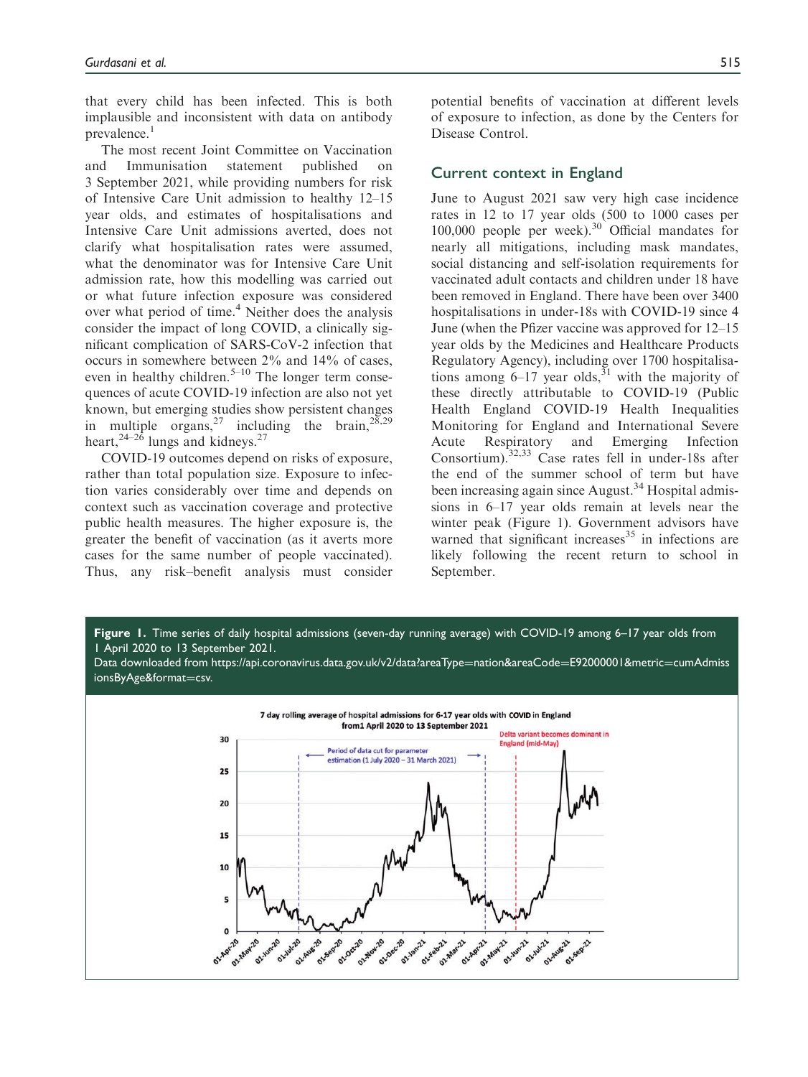that every child has been infected. This is both implausible and inconsistent with data on antibody prevalence. $<sup>1</sup>$ </sup>

The most recent Joint Committee on Vaccination and Immunisation statement published on 3 September 2021, while providing numbers for risk of Intensive Care Unit admission to healthy 12–15 year olds, and estimates of hospitalisations and Intensive Care Unit admissions averted, does not clarify what hospitalisation rates were assumed, what the denominator was for Intensive Care Unit admission rate, how this modelling was carried out or what future infection exposure was considered over what period of time.<sup>4</sup> Neither does the analysis consider the impact of long COVID, a clinically significant complication of SARS-CoV-2 infection that occurs in somewhere between 2% and 14% of cases, even in healthy children.<sup>5–10</sup> The longer term consequences of acute COVID-19 infection are also not yet known, but emerging studies show persistent changes in multiple organs,<sup>27</sup> including the brain,  $2^{8,29}$ heart,  $24-26$  lungs and kidneys.<sup>27</sup>

COVID-19 outcomes depend on risks of exposure, rather than total population size. Exposure to infection varies considerably over time and depends on context such as vaccination coverage and protective public health measures. The higher exposure is, the greater the benefit of vaccination (as it averts more cases for the same number of people vaccinated). Thus, any risk–benefit analysis must consider potential benefits of vaccination at different levels of exposure to infection, as done by the Centers for Disease Control.

# Current context in England

June to August 2021 saw very high case incidence rates in 12 to 17 year olds (500 to 1000 cases per 100,000 people per week).<sup>30</sup> Official mandates for nearly all mitigations, including mask mandates, social distancing and self-isolation requirements for vaccinated adult contacts and children under 18 have been removed in England. There have been over 3400 hospitalisations in under-18s with COVID-19 since 4 June (when the Pfizer vaccine was approved for 12–15 year olds by the Medicines and Healthcare Products Regulatory Agency), including over 1700 hospitalisations among  $6-17$  year olds,<sup>31</sup> with the majority of these directly attributable to COVID-19 (Public Health England COVID-19 Health Inequalities Monitoring for England and International Severe Acute Respiratory and Emerging Infection Consortium).32,33 Case rates fell in under-18s after the end of the summer school of term but have been increasing again since August.<sup>34</sup> Hospital admissions in 6–17 year olds remain at levels near the winter peak (Figure 1). Government advisors have warned that significant increases $35$  in infections are likely following the recent return to school in September.

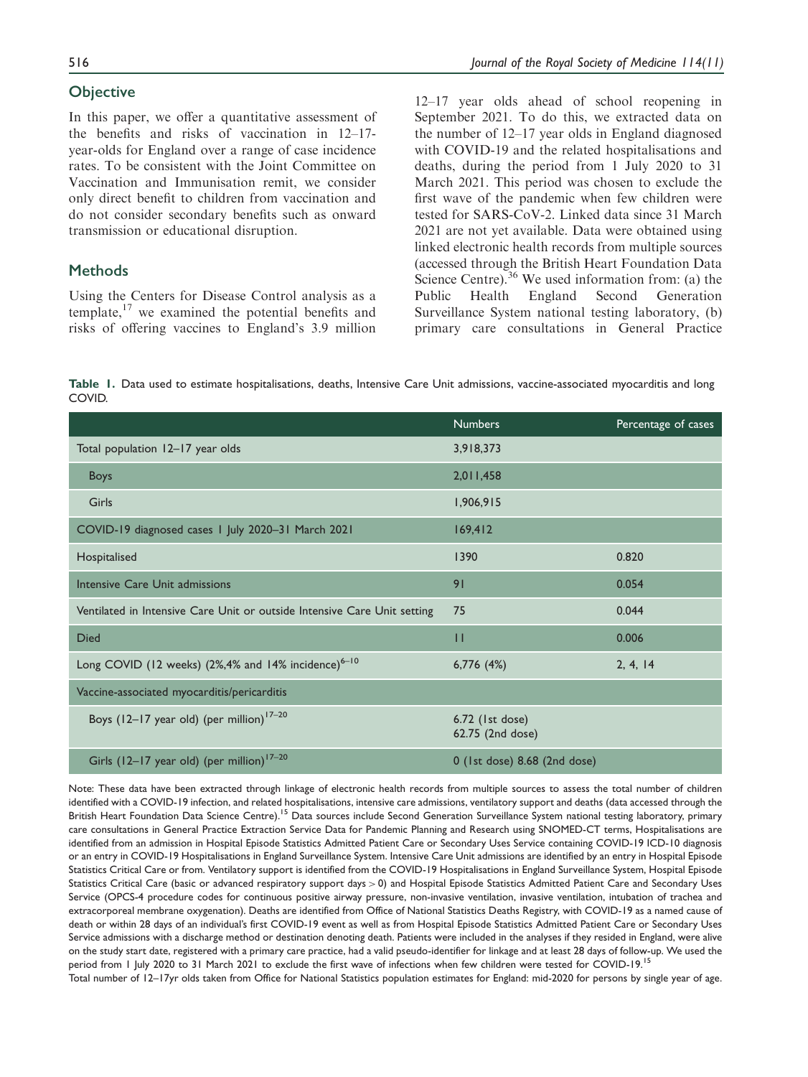# **Objective**

In this paper, we offer a quantitative assessment of the benefits and risks of vaccination in 12–17 year-olds for England over a range of case incidence rates. To be consistent with the Joint Committee on Vaccination and Immunisation remit, we consider only direct benefit to children from vaccination and do not consider secondary benefits such as onward transmission or educational disruption.

# **Methods**

Using the Centers for Disease Control analysis as a template,<sup>17</sup> we examined the potential benefits and risks of offering vaccines to England's 3.9 million 12–17 year olds ahead of school reopening in September 2021. To do this, we extracted data on the number of 12–17 year olds in England diagnosed with COVID-19 and the related hospitalisations and deaths, during the period from 1 July 2020 to 31 March 2021. This period was chosen to exclude the first wave of the pandemic when few children were tested for SARS-CoV-2. Linked data since 31 March 2021 are not yet available. Data were obtained using linked electronic health records from multiple sources (accessed through the British Heart Foundation Data Science Centre).<sup>36</sup> We used information from: (a) the Public Health England Second Generation Surveillance System national testing laboratory, (b) primary care consultations in General Practice

Table 1. Data used to estimate hospitalisations, deaths, Intensive Care Unit admissions, vaccine-associated myocarditis and long COVID.

|                                                                          | <b>Numbers</b>                      | Percentage of cases |
|--------------------------------------------------------------------------|-------------------------------------|---------------------|
| Total population 12-17 year olds                                         | 3,918,373                           |                     |
| <b>Boys</b>                                                              | 2,011,458                           |                     |
| Girls                                                                    | 1,906,915                           |                     |
| COVID-19 diagnosed cases 1 July 2020-31 March 2021                       | 169,412                             |                     |
| Hospitalised                                                             | 1390                                | 0.820               |
| Intensive Care Unit admissions                                           | 91                                  | 0.054               |
| Ventilated in Intensive Care Unit or outside Intensive Care Unit setting | 75                                  | 0.044               |
| <b>Died</b>                                                              | $\mathbf{H}$                        | 0.006               |
| Long COVID (12 weeks) (2%,4% and 14% incidence) <sup>6-10</sup>          | $6,776$ $(4%)$                      | 2, 4, 14            |
| Vaccine-associated myocarditis/pericarditis                              |                                     |                     |
| Boys (12-17 year old) (per million) <sup>17-20</sup>                     | 6.72 (1st dose)<br>62.75 (2nd dose) |                     |
| Girls (12-17 year old) (per million) <sup>17-20</sup>                    | 0 (1st dose) 8.68 (2nd dose)        |                     |

Note: These data have been extracted through linkage of electronic health records from multiple sources to assess the total number of children identified with a COVID-19 infection, and related hospitalisations, intensive care admissions, ventilatory support and deaths (data accessed through the British Heart Foundation Data Science Centre).<sup>15</sup> Data sources include Second Generation Surveillance System national testing laboratory, primary care consultations in General Practice Extraction Service Data for Pandemic Planning and Research using SNOMED-CT terms, Hospitalisations are identified from an admission in Hospital Episode Statistics Admitted Patient Care or Secondary Uses Service containing COVID-19 ICD-10 diagnosis or an entry in COVID-19 Hospitalisations in England Surveillance System. Intensive Care Unit admissions are identified by an entry in Hospital Episode Statistics Critical Care or from. Ventilatory support is identified from the COVID-19 Hospitalisations in England Surveillance System, Hospital Episode Statistics Critical Care (basic or advanced respiratory support days > 0) and Hospital Episode Statistics Admitted Patient Care and Secondary Uses Service (OPCS-4 procedure codes for continuous positive airway pressure, non-invasive ventilation, invasive ventilation, intubation of trachea and extracorporeal membrane oxygenation). Deaths are identified from Office of National Statistics Deaths Registry, with COVID-19 as a named cause of death or within 28 days of an individual's first COVID-19 event as well as from Hospital Episode Statistics Admitted Patient Care or Secondary Uses Service admissions with a discharge method or destination denoting death. Patients were included in the analyses if they resided in England, were alive on the study start date, registered with a primary care practice, had a valid pseudo-identifier for linkage and at least 28 days of follow-up. We used the period from 1 July 2020 to 31 March 2021 to exclude the first wave of infections when few children were tested for COVID-19.<sup>15</sup> Total number of 12–17yr olds taken from Office for National Statistics population estimates for England: mid-2020 for persons by single year of age.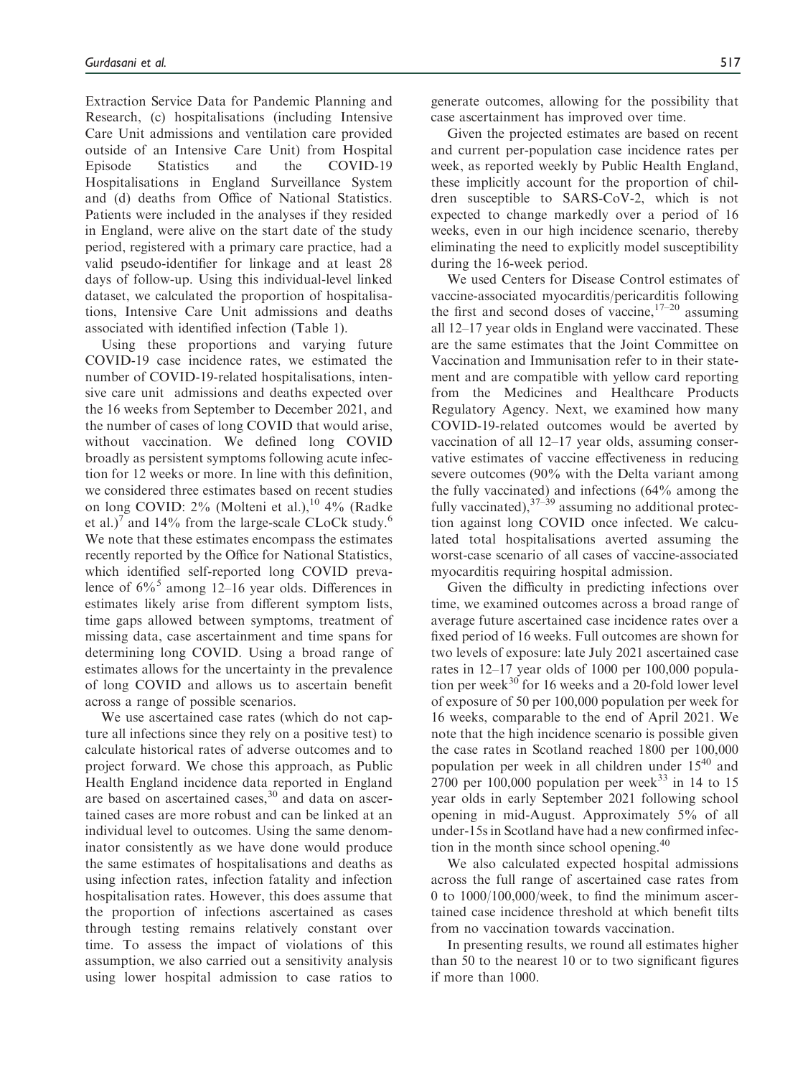Extraction Service Data for Pandemic Planning and Research, (c) hospitalisations (including Intensive Care Unit admissions and ventilation care provided outside of an Intensive Care Unit) from Hospital Episode Statistics and the COVID-19 Hospitalisations in England Surveillance System and (d) deaths from Office of National Statistics. Patients were included in the analyses if they resided in England, were alive on the start date of the study period, registered with a primary care practice, had a valid pseudo-identifier for linkage and at least 28 days of follow-up. Using this individual-level linked dataset, we calculated the proportion of hospitalisations, Intensive Care Unit admissions and deaths associated with identified infection (Table 1).

Using these proportions and varying future COVID-19 case incidence rates, we estimated the number of COVID-19-related hospitalisations, intensive care unit admissions and deaths expected over the 16 weeks from September to December 2021, and the number of cases of long COVID that would arise, without vaccination. We defined long COVID broadly as persistent symptoms following acute infection for 12 weeks or more. In line with this definition, we considered three estimates based on recent studies on long COVID:  $2\%$  (Molteni et al.), <sup>10</sup> 4% (Radke et al.)<sup>7</sup> and 14% from the large-scale CLoCk study.<sup>6</sup> We note that these estimates encompass the estimates recently reported by the Office for National Statistics, which identified self-reported long COVID prevalence of  $6\frac{6}{6}$  among 12–16 year olds. Differences in estimates likely arise from different symptom lists, time gaps allowed between symptoms, treatment of missing data, case ascertainment and time spans for determining long COVID. Using a broad range of estimates allows for the uncertainty in the prevalence of long COVID and allows us to ascertain benefit across a range of possible scenarios.

We use ascertained case rates (which do not capture all infections since they rely on a positive test) to calculate historical rates of adverse outcomes and to project forward. We chose this approach, as Public Health England incidence data reported in England are based on ascertained cases, $30$  and data on ascertained cases are more robust and can be linked at an individual level to outcomes. Using the same denominator consistently as we have done would produce the same estimates of hospitalisations and deaths as using infection rates, infection fatality and infection hospitalisation rates. However, this does assume that the proportion of infections ascertained as cases through testing remains relatively constant over time. To assess the impact of violations of this assumption, we also carried out a sensitivity analysis using lower hospital admission to case ratios to generate outcomes, allowing for the possibility that case ascertainment has improved over time.

Given the projected estimates are based on recent and current per-population case incidence rates per week, as reported weekly by Public Health England, these implicitly account for the proportion of children susceptible to SARS-CoV-2, which is not expected to change markedly over a period of 16 weeks, even in our high incidence scenario, thereby eliminating the need to explicitly model susceptibility during the 16-week period.

We used Centers for Disease Control estimates of vaccine-associated myocarditis/pericarditis following the first and second doses of vaccine,  $17-20$  assuming all 12–17 year olds in England were vaccinated. These are the same estimates that the Joint Committee on Vaccination and Immunisation refer to in their statement and are compatible with yellow card reporting from the Medicines and Healthcare Products Regulatory Agency. Next, we examined how many COVID-19-related outcomes would be averted by vaccination of all 12–17 year olds, assuming conservative estimates of vaccine effectiveness in reducing severe outcomes (90% with the Delta variant among the fully vaccinated) and infections (64% among the fully vaccinated),  $37-39$  assuming no additional protection against long COVID once infected. We calculated total hospitalisations averted assuming the worst-case scenario of all cases of vaccine-associated myocarditis requiring hospital admission.

Given the difficulty in predicting infections over time, we examined outcomes across a broad range of average future ascertained case incidence rates over a fixed period of 16 weeks. Full outcomes are shown for two levels of exposure: late July 2021 ascertained case rates in 12–17 year olds of 1000 per 100,000 population per week $^{30}$  for 16 weeks and a 20-fold lower level of exposure of 50 per 100,000 population per week for 16 weeks, comparable to the end of April 2021. We note that the high incidence scenario is possible given the case rates in Scotland reached 1800 per 100,000 population per week in all children under  $15^{40}$  and 2700 per 100,000 population per week<sup>33</sup> in 14 to 15 year olds in early September 2021 following school opening in mid-August. Approximately 5% of all under-15s in Scotland have had a new confirmed infection in the month since school opening.<sup>40</sup>

We also calculated expected hospital admissions across the full range of ascertained case rates from 0 to 1000/100,000/week, to find the minimum ascertained case incidence threshold at which benefit tilts from no vaccination towards vaccination.

In presenting results, we round all estimates higher than 50 to the nearest 10 or to two significant figures if more than 1000.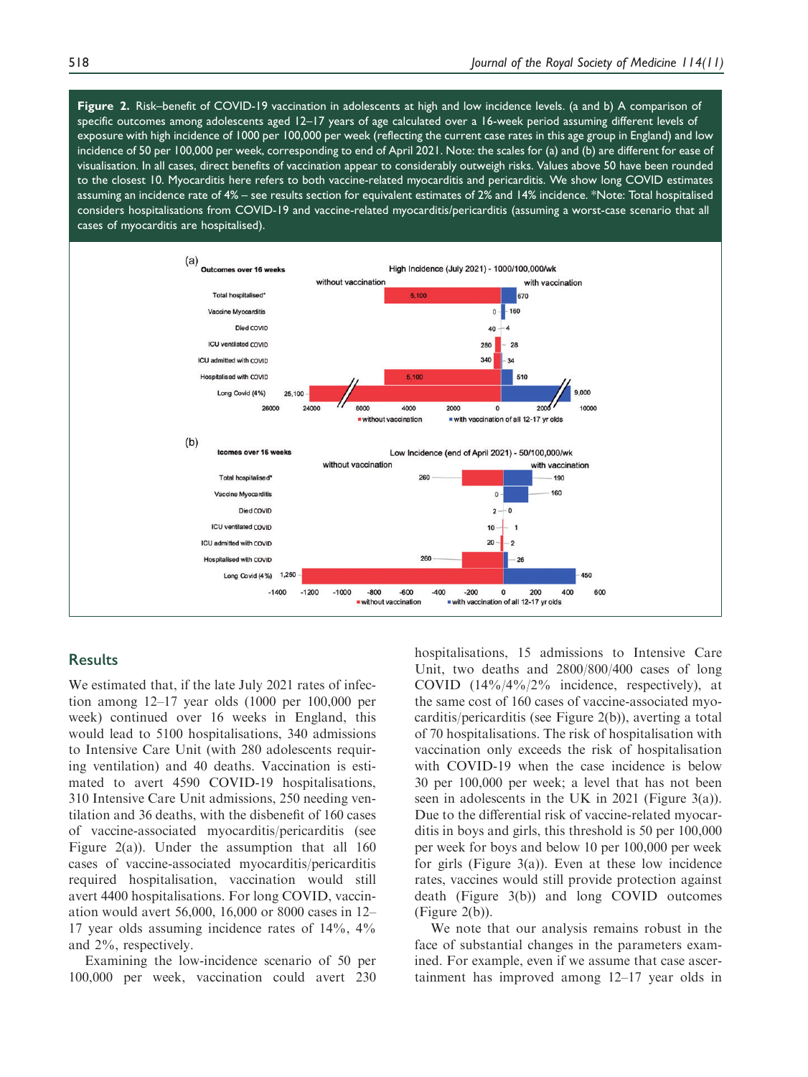Figure 2. Risk–benefit of COVID-19 vaccination in adolescents at high and low incidence levels. (a and b) A comparison of specific outcomes among adolescents aged 12–17 years of age calculated over a 16-week period assuming different levels of exposure with high incidence of 1000 per 100,000 per week (reflecting the current case rates in this age group in England) and low incidence of 50 per 100,000 per week, corresponding to end of April 2021. Note: the scales for (a) and (b) are different for ease of visualisation. In all cases, direct benefits of vaccination appear to considerably outweigh risks. Values above 50 have been rounded to the closest 10. Myocarditis here refers to both vaccine-related myocarditis and pericarditis. We show long COVID estimates assuming an incidence rate of 4% – see results section for equivalent estimates of 2% and 14% incidence. \*Note: Total hospitalised considers hospitalisations from COVID-19 and vaccine-related myocarditis/pericarditis (assuming a worst-case scenario that all cases of myocarditis are hospitalised).



## **Results**

We estimated that, if the late July 2021 rates of infection among 12–17 year olds (1000 per 100,000 per week) continued over 16 weeks in England, this would lead to 5100 hospitalisations, 340 admissions to Intensive Care Unit (with 280 adolescents requiring ventilation) and 40 deaths. Vaccination is estimated to avert 4590 COVID-19 hospitalisations, 310 Intensive Care Unit admissions, 250 needing ventilation and 36 deaths, with the disbenefit of 160 cases of vaccine-associated myocarditis/pericarditis (see Figure 2(a)). Under the assumption that all 160 cases of vaccine-associated myocarditis/pericarditis required hospitalisation, vaccination would still avert 4400 hospitalisations. For long COVID, vaccination would avert 56,000, 16,000 or 8000 cases in 12– 17 year olds assuming incidence rates of 14%, 4% and 2%, respectively.

Examining the low-incidence scenario of 50 per 100,000 per week, vaccination could avert 230 hospitalisations, 15 admissions to Intensive Care Unit, two deaths and 2800/800/400 cases of long COVID (14%/4%/2% incidence, respectively), at the same cost of 160 cases of vaccine-associated myocarditis/pericarditis (see Figure 2(b)), averting a total of 70 hospitalisations. The risk of hospitalisation with vaccination only exceeds the risk of hospitalisation with COVID-19 when the case incidence is below 30 per 100,000 per week; a level that has not been seen in adolescents in the UK in 2021 (Figure 3(a)). Due to the differential risk of vaccine-related myocarditis in boys and girls, this threshold is 50 per 100,000 per week for boys and below 10 per 100,000 per week for girls (Figure 3(a)). Even at these low incidence rates, vaccines would still provide protection against death (Figure 3(b)) and long COVID outcomes (Figure 2(b)).

We note that our analysis remains robust in the face of substantial changes in the parameters examined. For example, even if we assume that case ascertainment has improved among 12–17 year olds in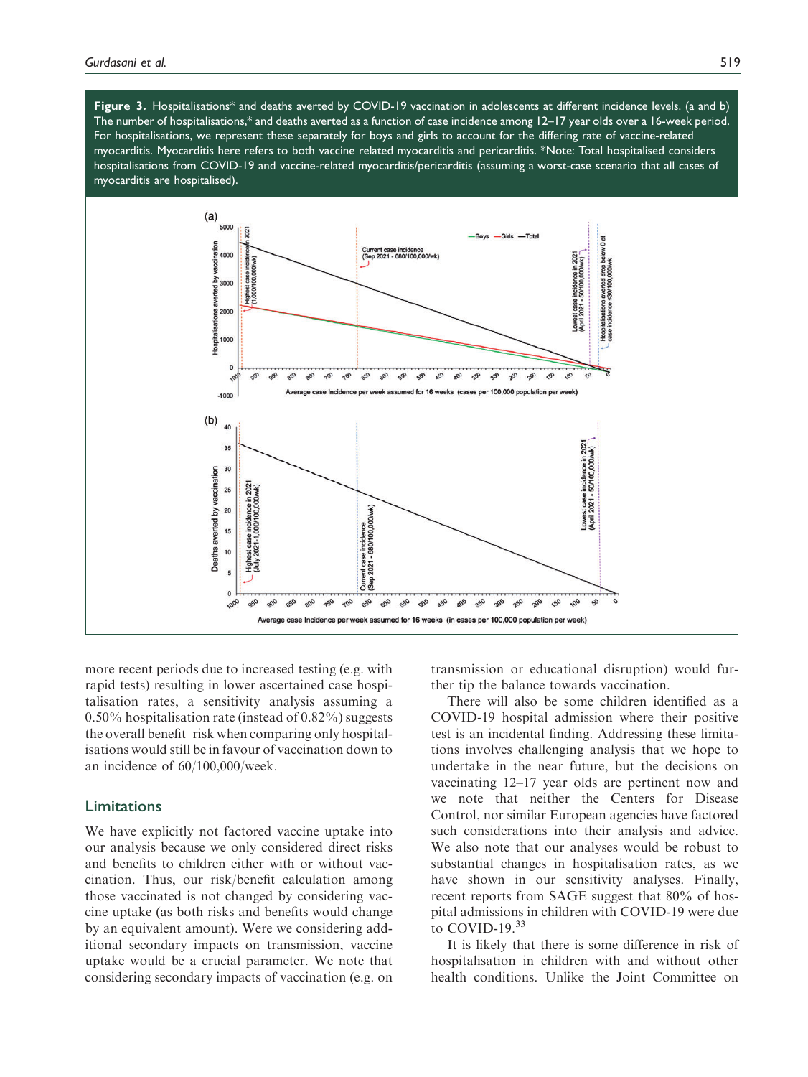Figure 3. Hospitalisations\* and deaths averted by COVID-19 vaccination in adolescents at different incidence levels. (a and b) The number of hospitalisations,\* and deaths averted as a function of case incidence among 12–17 year olds over a 16-week period. For hospitalisations, we represent these separately for boys and girls to account for the differing rate of vaccine-related myocarditis. Myocarditis here refers to both vaccine related myocarditis and pericarditis. \*Note: Total hospitalised considers hospitalisations from COVID-19 and vaccine-related myocarditis/pericarditis (assuming a worst-case scenario that all cases of myocarditis are hospitalised).



more recent periods due to increased testing (e.g. with rapid tests) resulting in lower ascertained case hospitalisation rates, a sensitivity analysis assuming a 0.50% hospitalisation rate (instead of 0.82%) suggests the overall benefit–risk when comparing only hospitalisations would still be in favour of vaccination down to an incidence of 60/100,000/week.

# Limitations

We have explicitly not factored vaccine uptake into our analysis because we only considered direct risks and benefits to children either with or without vaccination. Thus, our risk/benefit calculation among those vaccinated is not changed by considering vaccine uptake (as both risks and benefits would change by an equivalent amount). Were we considering additional secondary impacts on transmission, vaccine uptake would be a crucial parameter. We note that considering secondary impacts of vaccination (e.g. on transmission or educational disruption) would further tip the balance towards vaccination.

There will also be some children identified as a COVID-19 hospital admission where their positive test is an incidental finding. Addressing these limitations involves challenging analysis that we hope to undertake in the near future, but the decisions on vaccinating 12–17 year olds are pertinent now and we note that neither the Centers for Disease Control, nor similar European agencies have factored such considerations into their analysis and advice. We also note that our analyses would be robust to substantial changes in hospitalisation rates, as we have shown in our sensitivity analyses. Finally, recent reports from SAGE suggest that 80% of hospital admissions in children with COVID-19 were due to COVID-19.<sup>33</sup>

It is likely that there is some difference in risk of hospitalisation in children with and without other health conditions. Unlike the Joint Committee on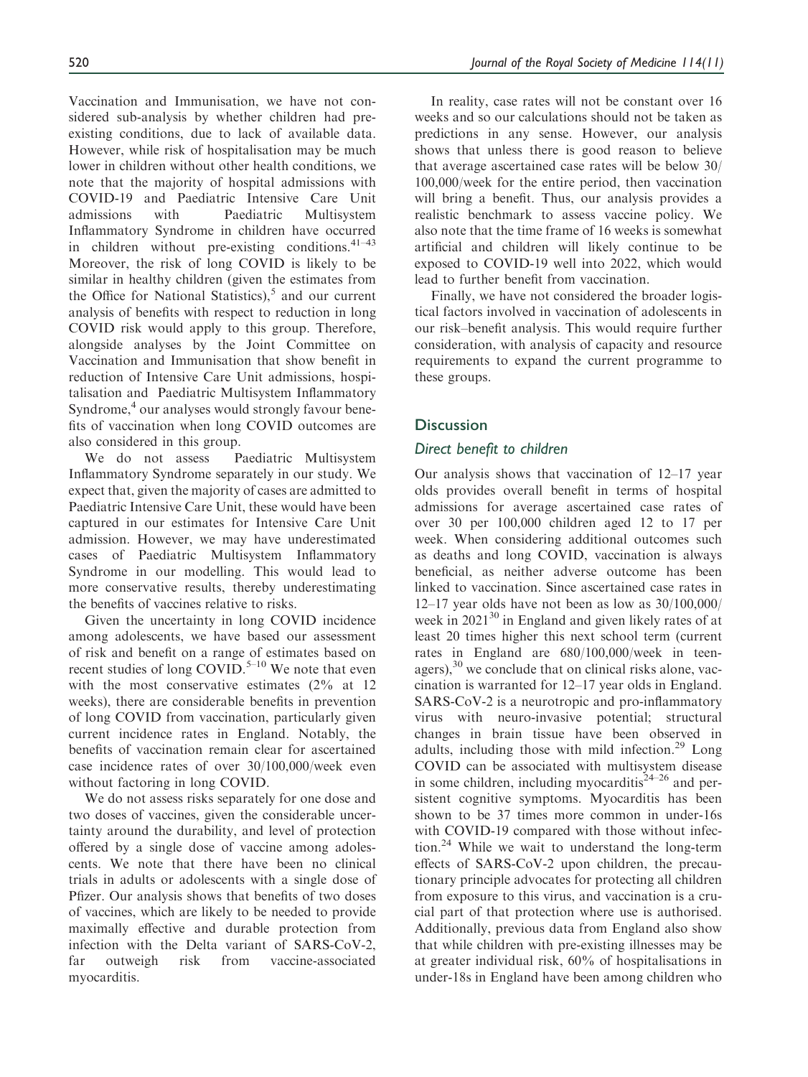Vaccination and Immunisation, we have not considered sub-analysis by whether children had preexisting conditions, due to lack of available data. However, while risk of hospitalisation may be much lower in children without other health conditions, we note that the majority of hospital admissions with COVID-19 and Paediatric Intensive Care Unit admissions with Paediatric Multisystem Inflammatory Syndrome in children have occurred in children without pre-existing conditions.  $41-43$ Moreover, the risk of long COVID is likely to be similar in healthy children (given the estimates from the Office for National Statistics), $5$  and our current analysis of benefits with respect to reduction in long COVID risk would apply to this group. Therefore, alongside analyses by the Joint Committee on Vaccination and Immunisation that show benefit in reduction of Intensive Care Unit admissions, hospitalisation and Paediatric Multisystem Inflammatory Syndrome,<sup>4</sup> our analyses would strongly favour benefits of vaccination when long COVID outcomes are also considered in this group.

We do not assess Paediatric Multisystem Inflammatory Syndrome separately in our study. We expect that, given the majority of cases are admitted to Paediatric Intensive Care Unit, these would have been captured in our estimates for Intensive Care Unit admission. However, we may have underestimated cases of Paediatric Multisystem Inflammatory Syndrome in our modelling. This would lead to more conservative results, thereby underestimating the benefits of vaccines relative to risks.

Given the uncertainty in long COVID incidence among adolescents, we have based our assessment of risk and benefit on a range of estimates based on recent studies of long COVID.<sup>5–10</sup> We note that even with the most conservative estimates  $(2\%$  at 12 weeks), there are considerable benefits in prevention of long COVID from vaccination, particularly given current incidence rates in England. Notably, the benefits of vaccination remain clear for ascertained case incidence rates of over 30/100,000/week even without factoring in long COVID.

We do not assess risks separately for one dose and two doses of vaccines, given the considerable uncertainty around the durability, and level of protection offered by a single dose of vaccine among adolescents. We note that there have been no clinical trials in adults or adolescents with a single dose of Pfizer. Our analysis shows that benefits of two doses of vaccines, which are likely to be needed to provide maximally effective and durable protection from infection with the Delta variant of SARS-CoV-2, far outweigh risk from vaccine-associated myocarditis.

In reality, case rates will not be constant over 16 weeks and so our calculations should not be taken as predictions in any sense. However, our analysis shows that unless there is good reason to believe that average ascertained case rates will be below 30/ 100,000/week for the entire period, then vaccination will bring a benefit. Thus, our analysis provides a realistic benchmark to assess vaccine policy. We also note that the time frame of 16 weeks is somewhat artificial and children will likely continue to be exposed to COVID-19 well into 2022, which would lead to further benefit from vaccination.

Finally, we have not considered the broader logistical factors involved in vaccination of adolescents in our risk–benefit analysis. This would require further consideration, with analysis of capacity and resource requirements to expand the current programme to these groups.

# **Discussion**

## Direct benefit to children

Our analysis shows that vaccination of 12–17 year olds provides overall benefit in terms of hospital admissions for average ascertained case rates of over 30 per 100,000 children aged 12 to 17 per week. When considering additional outcomes such as deaths and long COVID, vaccination is always beneficial, as neither adverse outcome has been linked to vaccination. Since ascertained case rates in 12–17 year olds have not been as low as 30/100,000/ week in  $2021^{30}$  in England and given likely rates of at least 20 times higher this next school term (current rates in England are 680/100,000/week in teenagers), $30$  we conclude that on clinical risks alone, vaccination is warranted for 12–17 year olds in England. SARS-CoV-2 is a neurotropic and pro-inflammatory virus with neuro-invasive potential; structural changes in brain tissue have been observed in adults, including those with mild infection.<sup>29</sup> Long COVID can be associated with multisystem disease in some children, including myocarditis<sup> $24-26$ </sup> and persistent cognitive symptoms. Myocarditis has been shown to be 37 times more common in under-16s with COVID-19 compared with those without infection.24 While we wait to understand the long-term effects of SARS-CoV-2 upon children, the precautionary principle advocates for protecting all children from exposure to this virus, and vaccination is a crucial part of that protection where use is authorised. Additionally, previous data from England also show that while children with pre-existing illnesses may be at greater individual risk, 60% of hospitalisations in under-18s in England have been among children who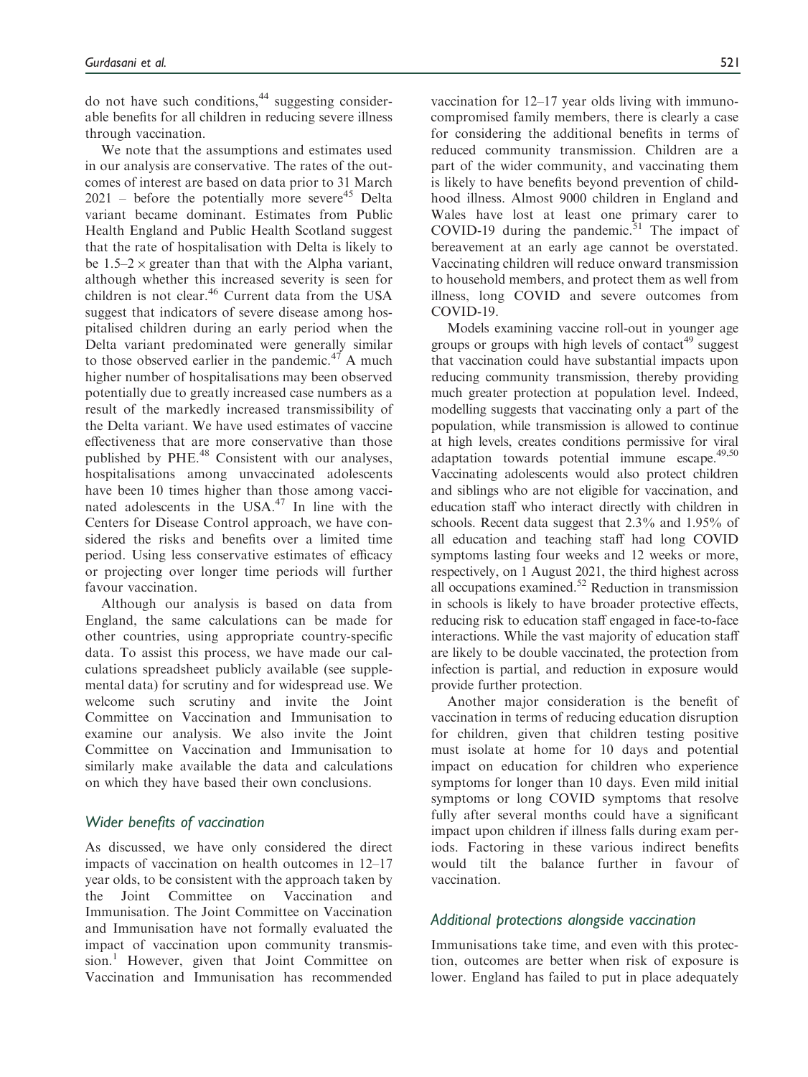do not have such conditions, $44$  suggesting considerable benefits for all children in reducing severe illness through vaccination.

We note that the assumptions and estimates used in our analysis are conservative. The rates of the outcomes of interest are based on data prior to 31 March  $2021$  – before the potentially more severe<sup>45</sup> Delta variant became dominant. Estimates from Public Health England and Public Health Scotland suggest that the rate of hospitalisation with Delta is likely to be  $1.5-2 \times$  greater than that with the Alpha variant, although whether this increased severity is seen for children is not clear.<sup>46</sup> Current data from the USA suggest that indicators of severe disease among hospitalised children during an early period when the Delta variant predominated were generally similar to those observed earlier in the pandemic.<sup>47</sup> A much higher number of hospitalisations may been observed potentially due to greatly increased case numbers as a result of the markedly increased transmissibility of the Delta variant. We have used estimates of vaccine effectiveness that are more conservative than those published by PHE.<sup>48</sup> Consistent with our analyses, hospitalisations among unvaccinated adolescents have been 10 times higher than those among vaccinated adolescents in the  $USA^{47}$  In line with the Centers for Disease Control approach, we have considered the risks and benefits over a limited time period. Using less conservative estimates of efficacy or projecting over longer time periods will further favour vaccination.

Although our analysis is based on data from England, the same calculations can be made for other countries, using appropriate country-specific data. To assist this process, we have made our calculations spreadsheet publicly available (see supplemental data) for scrutiny and for widespread use. We welcome such scrutiny and invite the Joint Committee on Vaccination and Immunisation to examine our analysis. We also invite the Joint Committee on Vaccination and Immunisation to similarly make available the data and calculations on which they have based their own conclusions.

# Wider benefits of vaccination

As discussed, we have only considered the direct impacts of vaccination on health outcomes in 12–17 year olds, to be consistent with the approach taken by the Joint Committee on Vaccination and Immunisation. The Joint Committee on Vaccination and Immunisation have not formally evaluated the impact of vaccination upon community transmission.<sup>1</sup> However, given that Joint Committee on Vaccination and Immunisation has recommended vaccination for 12–17 year olds living with immunocompromised family members, there is clearly a case for considering the additional benefits in terms of reduced community transmission. Children are a part of the wider community, and vaccinating them is likely to have benefits beyond prevention of childhood illness. Almost 9000 children in England and Wales have lost at least one primary carer to COVID-19 during the pandemic.<sup>51</sup> The impact of bereavement at an early age cannot be overstated. Vaccinating children will reduce onward transmission to household members, and protect them as well from illness, long COVID and severe outcomes from COVID-19.

Models examining vaccine roll-out in younger age groups or groups with high levels of contact<sup>49</sup> suggest that vaccination could have substantial impacts upon reducing community transmission, thereby providing much greater protection at population level. Indeed, modelling suggests that vaccinating only a part of the population, while transmission is allowed to continue at high levels, creates conditions permissive for viral adaptation towards potential immune escape.<sup>49,50</sup> Vaccinating adolescents would also protect children and siblings who are not eligible for vaccination, and education staff who interact directly with children in schools. Recent data suggest that 2.3% and 1.95% of all education and teaching staff had long COVID symptoms lasting four weeks and 12 weeks or more, respectively, on 1 August 2021, the third highest across all occupations examined.52 Reduction in transmission in schools is likely to have broader protective effects, reducing risk to education staff engaged in face-to-face interactions. While the vast majority of education staff are likely to be double vaccinated, the protection from infection is partial, and reduction in exposure would provide further protection.

Another major consideration is the benefit of vaccination in terms of reducing education disruption for children, given that children testing positive must isolate at home for 10 days and potential impact on education for children who experience symptoms for longer than 10 days. Even mild initial symptoms or long COVID symptoms that resolve fully after several months could have a significant impact upon children if illness falls during exam periods. Factoring in these various indirect benefits would tilt the balance further in favour of vaccination.

# Additional protections alongside vaccination

Immunisations take time, and even with this protection, outcomes are better when risk of exposure is lower. England has failed to put in place adequately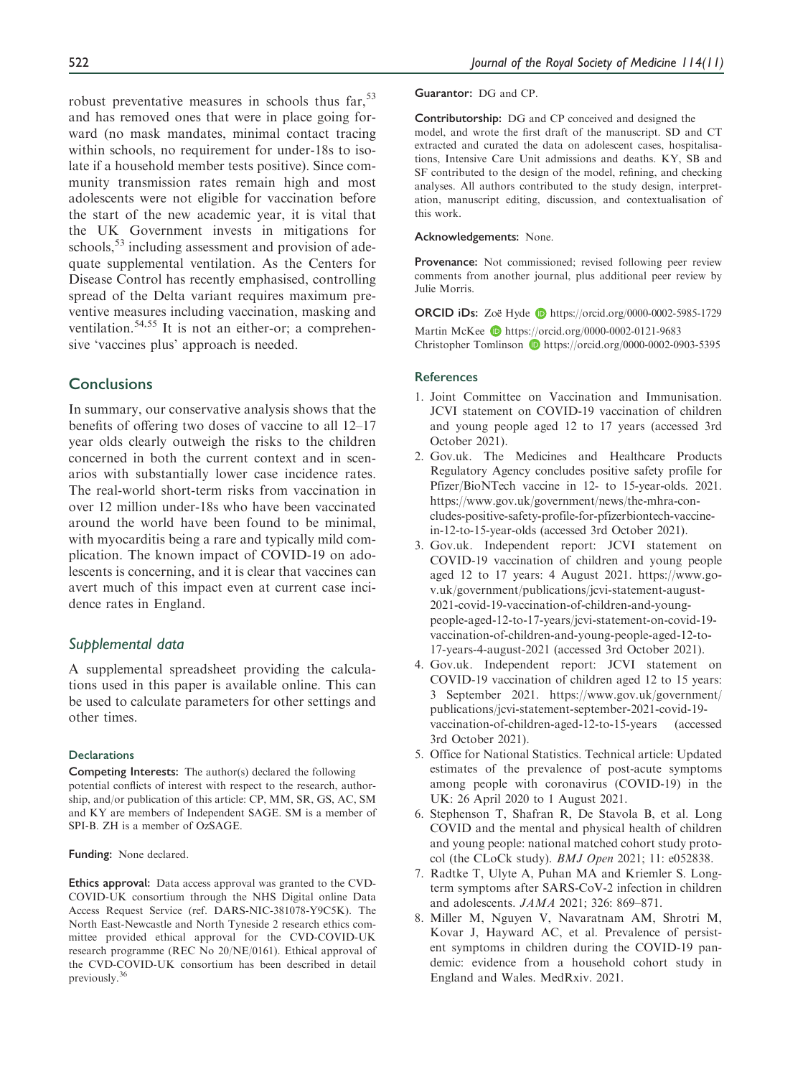robust preventative measures in schools thus  $\text{far}$ ,  $^{53}$ and has removed ones that were in place going forward (no mask mandates, minimal contact tracing within schools, no requirement for under-18s to isolate if a household member tests positive). Since community transmission rates remain high and most adolescents were not eligible for vaccination before the start of the new academic year, it is vital that the UK Government invests in mitigations for schools,<sup>53</sup> including assessment and provision of adequate supplemental ventilation. As the Centers for Disease Control has recently emphasised, controlling spread of the Delta variant requires maximum preventive measures including vaccination, masking and ventilation.<sup>54,55</sup> It is not an either-or; a comprehensive 'vaccines plus' approach is needed.

# **Conclusions**

In summary, our conservative analysis shows that the benefits of offering two doses of vaccine to all 12–17 year olds clearly outweigh the risks to the children concerned in both the current context and in scenarios with substantially lower case incidence rates. The real-world short-term risks from vaccination in over 12 million under-18s who have been vaccinated around the world have been found to be minimal, with myocarditis being a rare and typically mild complication. The known impact of COVID-19 on adolescents is concerning, and it is clear that vaccines can avert much of this impact even at current case incidence rates in England.

## Supplemental data

A supplemental spreadsheet providing the calculations used in this paper is available online. This can be used to calculate parameters for other settings and other times.

#### **Declarations**

Competing Interests: The author(s) declared the following potential conflicts of interest with respect to the research, authorship, and/or publication of this article: CP, MM, SR, GS, AC, SM and KY are members of Independent SAGE. SM is a member of SPI-B. ZH is a member of OzSAGE.

Funding: None declared.

Ethics approval: Data access approval was granted to the CVD-COVID-UK consortium through the NHS Digital online Data Access Request Service (ref. DARS-NIC-381078-Y9C5K). The North East-Newcastle and North Tyneside 2 research ethics committee provided ethical approval for the CVD-COVID-UK research programme (REC No 20/NE/0161). Ethical approval of the CVD-COVID-UK consortium has been described in detail previously.<sup>36</sup>

#### Guarantor: DG and CP.

Contributorship: DG and CP conceived and designed the model, and wrote the first draft of the manuscript. SD and CT extracted and curated the data on adolescent cases, hospitalisations, Intensive Care Unit admissions and deaths. KY, SB and SF contributed to the design of the model, refining, and checking analyses. All authors contributed to the study design, interpretation, manuscript editing, discussion, and contextualisation of this work.

#### Acknowledgements: None.

Provenance: Not commissioned: revised following peer review comments from another journal, plus additional peer review by Julie Morris.

ORCID iDs: Zoe¨ Hyde <https://orcid.org/0000-0002-5985-1729> Martin McKee **b** <https://orcid.org/0000-0002-0121-9683> Christopher Tomlinson D<https://orcid.org/0000-0002-0903-5395>

#### **References**

- 1. Joint Committee on Vaccination and Immunisation. JCVI statement on COVID-19 vaccination of children and young people aged 12 to 17 years (accessed 3rd October 2021).
- 2. Gov.uk. The Medicines and Healthcare Products Regulatory Agency concludes positive safety profile for Pfizer/BioNTech vaccine in 12- to 15-year-olds. 2021. https://www.gov.uk/government/news/the-mhra-concludes-positive-safety-profile-for-pfizerbiontech-vaccinein-12-to-15-year-olds (accessed 3rd October 2021).
- 3. Gov.uk. Independent report: JCVI statement on COVID-19 vaccination of children and young people aged 12 to 17 years: 4 August 2021. https://www.gov.uk/government/publications/jcvi-statement-august-2021-covid-19-vaccination-of-children-and-youngpeople-aged-12-to-17-years/jcvi-statement-on-covid-19 vaccination-of-children-and-young-people-aged-12-to-17-years-4-august-2021 (accessed 3rd October 2021).
- 4. Gov.uk. Independent report: JCVI statement on COVID-19 vaccination of children aged 12 to 15 years: 3 September 2021. https://www.gov.uk/government/ publications/jcvi-statement-september-2021-covid-19 vaccination-of-children-aged-12-to-15-years (accessed 3rd October 2021).
- 5. Office for National Statistics. Technical article: Updated estimates of the prevalence of post-acute symptoms among people with coronavirus (COVID-19) in the UK: 26 April 2020 to 1 August 2021.
- 6. Stephenson T, Shafran R, De Stavola B, et al. Long COVID and the mental and physical health of children and young people: national matched cohort study protocol (the CLoCk study). BMJ Open 2021; 11: e052838.
- 7. Radtke T, Ulyte A, Puhan MA and Kriemler S. Longterm symptoms after SARS-CoV-2 infection in children and adolescents. JAMA 2021; 326: 869–871.
- 8. Miller M, Nguyen V, Navaratnam AM, Shrotri M, Kovar J, Hayward AC, et al. Prevalence of persistent symptoms in children during the COVID-19 pandemic: evidence from a household cohort study in England and Wales. MedRxiv. 2021.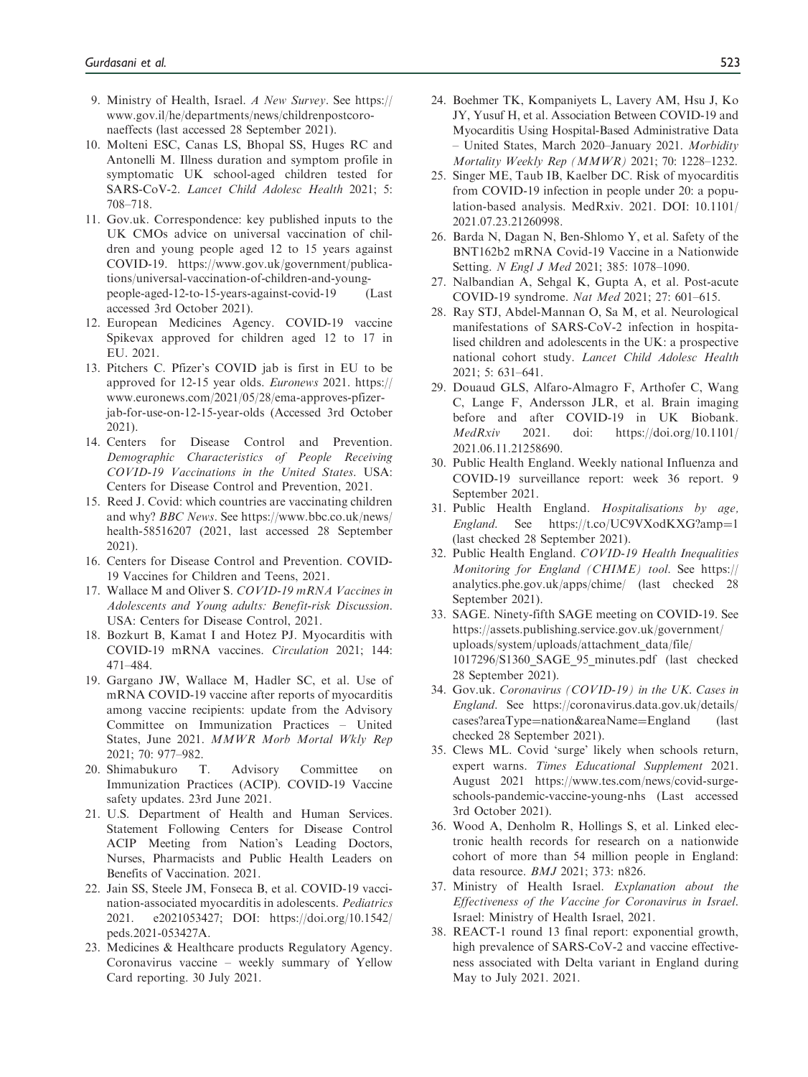- 9. Ministry of Health, Israel. A New Survey. See [https://](https://www.gov.il/he/departments/news/childrenpostcoronaeffects) [www.gov.il/he/departments/news/childrenpostcoro](https://www.gov.il/he/departments/news/childrenpostcoronaeffects)[naeffects](https://www.gov.il/he/departments/news/childrenpostcoronaeffects) (last accessed 28 September 2021).
- 10. Molteni ESC, Canas LS, Bhopal SS, Huges RC and Antonelli M. Illness duration and symptom profile in symptomatic UK school-aged children tested for SARS-CoV-2. Lancet Child Adolesc Health 2021; 5: 708–718.
- 11. Gov.uk. Correspondence: key published inputs to the UK CMOs advice on universal vaccination of children and young people aged 12 to 15 years against COVID-19. https://www.gov.uk/government/publications/universal-vaccination-of-children-and-youngpeople-aged-12-to-15-years-against-covid-19 (Last accessed 3rd October 2021).
- 12. European Medicines Agency. COVID-19 vaccine Spikevax approved for children aged 12 to 17 in EU. 2021.
- 13. Pitchers C. Pfizer's COVID jab is first in EU to be approved for 12-15 year olds. Euronews 2021. https:// www.euronews.com/2021/05/28/ema-approves-pfizerjab-for-use-on-12-15-year-olds (Accessed 3rd October 2021).
- 14. Centers for Disease Control and Prevention. Demographic Characteristics of People Receiving COVID-19 Vaccinations in the United States. USA: Centers for Disease Control and Prevention, 2021.
- 15. Reed J. Covid: which countries are vaccinating children and why? BBC News. See [https://www.bbc.co.uk/news/](https://www.bbc.co.uk/news/health-58516207) [health-58516207](https://www.bbc.co.uk/news/health-58516207) (2021, last accessed 28 September 2021).
- 16. Centers for Disease Control and Prevention. COVID-19 Vaccines for Children and Teens, 2021.
- 17. Wallace M and Oliver S. COVID-19 mRNA Vaccines in Adolescents and Young adults: Benefit-risk Discussion. USA: Centers for Disease Control, 2021.
- 18. Bozkurt B, Kamat I and Hotez PJ. Myocarditis with COVID-19 mRNA vaccines. Circulation 2021; 144: 471–484.
- 19. Gargano JW, Wallace M, Hadler SC, et al. Use of mRNA COVID-19 vaccine after reports of myocarditis among vaccine recipients: update from the Advisory Committee on Immunization Practices – United States, June 2021. MMWR Morb Mortal Wkly Rep 2021; 70: 977–982.
- 20. Shimabukuro T. Advisory Committee on Immunization Practices (ACIP). COVID-19 Vaccine safety updates. 23rd June 2021.
- 21. U.S. Department of Health and Human Services. Statement Following Centers for Disease Control ACIP Meeting from Nation's Leading Doctors, Nurses, Pharmacists and Public Health Leaders on Benefits of Vaccination. 2021.
- 22. Jain SS, Steele JM, Fonseca B, et al. COVID-19 vaccination-associated myocarditis in adolescents. Pediatrics 2021. e2021053427; DOI: https://doi.org/10.1542/ peds.2021-053427A.
- 23. Medicines & Healthcare products Regulatory Agency. Coronavirus vaccine – weekly summary of Yellow Card reporting. 30 July 2021.
- 24. Boehmer TK, Kompaniyets L, Lavery AM, Hsu J, Ko JY, Yusuf H, et al. Association Between COVID-19 and Myocarditis Using Hospital-Based Administrative Data – United States, March 2020–January 2021. Morbidity Mortality Weekly Rep (MMWR) 2021; 70: 1228–1232.
- 25. Singer ME, Taub IB, Kaelber DC. Risk of myocarditis from COVID-19 infection in people under 20: a population-based analysis. MedRxiv. 2021. DOI: 10.1101/ 2021.07.23.21260998.
- 26. Barda N, Dagan N, Ben-Shlomo Y, et al. Safety of the BNT162b2 mRNA Covid-19 Vaccine in a Nationwide Setting. N Engl J Med 2021; 385: 1078-1090.
- 27. Nalbandian A, Sehgal K, Gupta A, et al. Post-acute COVID-19 syndrome. Nat Med 2021; 27: 601–615.
- 28. Ray STJ, Abdel-Mannan O, Sa M, et al. Neurological manifestations of SARS-CoV-2 infection in hospitalised children and adolescents in the UK: a prospective national cohort study. Lancet Child Adolesc Health 2021; 5: 631–641.
- 29. Douaud GLS, Alfaro-Almagro F, Arthofer C, Wang C, Lange F, Andersson JLR, et al. Brain imaging before and after COVID-19 in UK Biobank. MedRxiv 2021. doi: https://doi.org/10.1101/ 2021.06.11.21258690.
- 30. Public Health England. Weekly national Influenza and COVID-19 surveillance report: week 36 report. 9 September 2021.
- 31. Public Health England. Hospitalisations by age,  $England.$  See [https://t.co/UC9VXodKXG?amp](https://t.co/UC9VXodKXG?amp1)=[1](https://t.co/UC9VXodKXG?amp1) (last checked 28 September 2021).
- 32. Public Health England. COVID-19 Health Inequalities Monitoring for England (CHIME) tool. See [https://](https://analytics.phe.gov.uk/apps/chime/) [analytics.phe.gov.uk/apps/chime/](https://analytics.phe.gov.uk/apps/chime/) (last checked 28 September 2021).
- 33. SAGE. Ninety-fifth SAGE meeting on COVID-19. See [https://assets.publishing.service.gov.uk/government/](https://assets.publishing.service.gov.uk/government/uploads/system/uploads/attachment_data/file/1017296/S1360_SAGE_95_minutes.pdf) [uploads/system/uploads/attachment\\_data/file/](https://assets.publishing.service.gov.uk/government/uploads/system/uploads/attachment_data/file/1017296/S1360_SAGE_95_minutes.pdf) [1017296/S1360\\_SAGE\\_95\\_minutes.pdf](https://assets.publishing.service.gov.uk/government/uploads/system/uploads/attachment_data/file/1017296/S1360_SAGE_95_minutes.pdf) (last checked 28 September 2021).
- 34. Gov.uk. Coronavirus (COVID-19) in the UK. Cases in England. See [https://coronavirus.data.gov.uk/details/](https://coronavirus.data.gov.uk/details/cases?areaTypenation&areaNameEngland)  $cases?areaType = nation&areaName = England$  $cases?areaType = nation&areaName = England$  $cases?areaType = nation&areaName = England$  $cases?areaType = nation&areaName = England$  $cases?areaType = nation&areaName = England$  (last checked 28 September 2021).
- 35. Clews ML. Covid 'surge' likely when schools return, expert warns. Times Educational Supplement 2021. August 2021 https://www.tes.com/news/covid-surgeschools-pandemic-vaccine-young-nhs (Last accessed 3rd October 2021).
- 36. Wood A, Denholm R, Hollings S, et al. Linked electronic health records for research on a nationwide cohort of more than 54 million people in England: data resource. BMJ 2021; 373: n826.
- 37. Ministry of Health Israel. Explanation about the Effectiveness of the Vaccine for Coronavirus in Israel. Israel: Ministry of Health Israel, 2021.
- 38. REACT-1 round 13 final report: exponential growth, high prevalence of SARS-CoV-2 and vaccine effectiveness associated with Delta variant in England during May to July 2021. 2021.